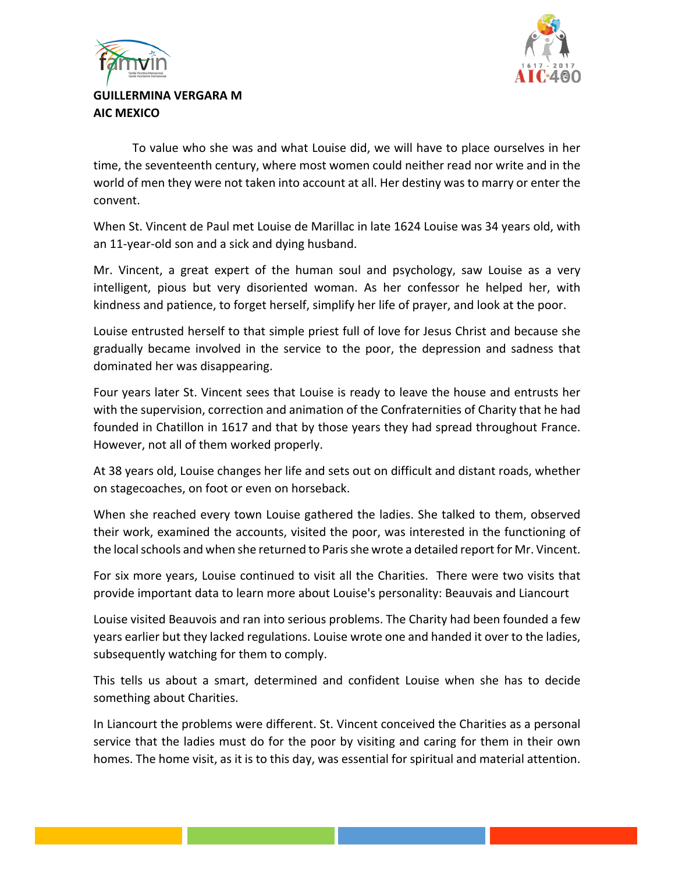



## **GUILLERMINA VERGARA M AIC MEXICO**

To value who she was and what Louise did, we will have to place ourselves in her time, the seventeenth century, where most women could neither read nor write and in the world of men they were not taken into account at all. Her destiny was to marry or enter the convent.

When St. Vincent de Paul met Louise de Marillac in late 1624 Louise was 34 years old, with an 11-year-old son and a sick and dying husband.

Mr. Vincent, a great expert of the human soul and psychology, saw Louise as a very intelligent, pious but very disoriented woman. As her confessor he helped her, with kindness and patience, to forget herself, simplify her life of prayer, and look at the poor.

Louise entrusted herself to that simple priest full of love for Jesus Christ and because she gradually became involved in the service to the poor, the depression and sadness that dominated her was disappearing.

Four years later St. Vincent sees that Louise is ready to leave the house and entrusts her with the supervision, correction and animation of the Confraternities of Charity that he had founded in Chatillon in 1617 and that by those years they had spread throughout France. However, not all of them worked properly.

At 38 years old, Louise changes her life and sets out on difficult and distant roads, whether on stagecoaches, on foot or even on horseback.

When she reached every town Louise gathered the ladies. She talked to them, observed their work, examined the accounts, visited the poor, was interested in the functioning of the local schools and when she returned to Paris she wrote a detailed report for Mr. Vincent.

For six more years, Louise continued to visit all the Charities. There were two visits that provide important data to learn more about Louise's personality: Beauvais and Liancourt

Louise visited Beauvois and ran into serious problems. The Charity had been founded a few years earlier but they lacked regulations. Louise wrote one and handed it over to the ladies, subsequently watching for them to comply.

This tells us about a smart, determined and confident Louise when she has to decide something about Charities.

In Liancourt the problems were different. St. Vincent conceived the Charities as a personal service that the ladies must do for the poor by visiting and caring for them in their own homes. The home visit, as it is to this day, was essential for spiritual and material attention.